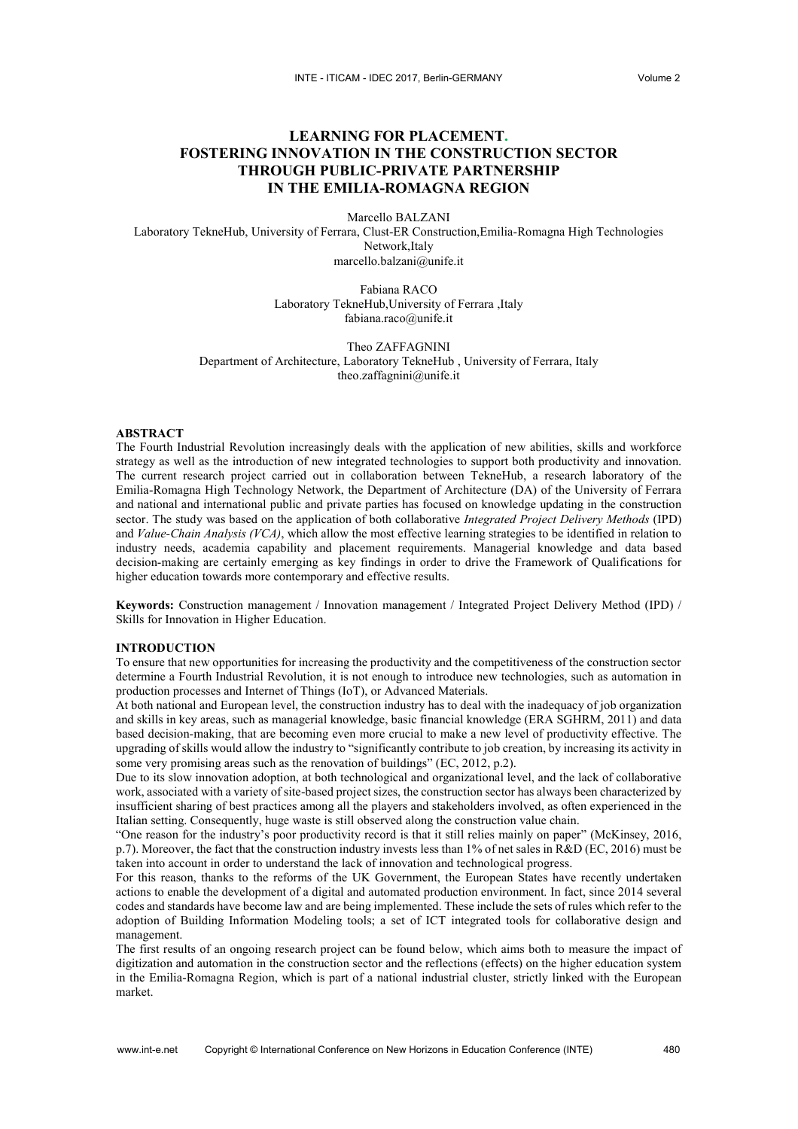# **LEARNING FOR PLACEMENT. FOSTERING INNOVATION IN THE CONSTRUCTION SECTOR THROUGH PUBLIC-PRIVATE PARTNERSHIP IN THE EMILIA-ROMAGNA REGION**

Marcello BALZANI

Laboratory TekneHub, University of Ferrara, Clust-ER Construction,Emilia-Romagna High Technologies Network,Italy marcello.balzani@unife.it

> Fabiana RACO Laboratory TekneHub,University of Ferrara ,Italy fabiana.raco@unife.it

Theo ZAFFAGNINI Department of Architecture, Laboratory TekneHub , University of Ferrara, Italy theo.zaffagnini@unife.it

#### **ABSTRACT**

The Fourth Industrial Revolution increasingly deals with the application of new abilities, skills and workforce strategy as well as the introduction of new integrated technologies to support both productivity and innovation. The current research project carried out in collaboration between TekneHub, a research laboratory of the Emilia-Romagna High Technology Network, the Department of Architecture (DA) of the University of Ferrara and national and international public and private parties has focused on knowledge updating in the construction sector. The study was based on the application of both collaborative *Integrated Project Delivery Methods* (IPD) and *Value-Chain Analysis (VCA)*, which allow the most effective learning strategies to be identified in relation to industry needs, academia capability and placement requirements. Managerial knowledge and data based decision-making are certainly emerging as key findings in order to drive the Framework of Qualifications for higher education towards more contemporary and effective results.

**Keywords:** Construction management / Innovation management / Integrated Project Delivery Method (IPD) / Skills for Innovation in Higher Education.

#### **INTRODUCTION**

To ensure that new opportunities for increasing the productivity and the competitiveness of the construction sector determine a Fourth Industrial Revolution, it is not enough to introduce new technologies, such as automation in production processes and Internet of Things (IoT), or Advanced Materials.

At both national and European level, the construction industry has to deal with the inadequacy of job organization and skills in key areas, such as managerial knowledge, basic financial knowledge (ERA SGHRM, 2011) and data based decision-making, that are becoming even more crucial to make a new level of productivity effective. The upgrading of skills would allow the industry to "significantly contribute to job creation, by increasing its activity in some very promising areas such as the renovation of buildings" (EC, 2012, p.2).

Due to its slow innovation adoption, at both technological and organizational level, and the lack of collaborative work, associated with a variety of site-based project sizes, the construction sector has always been characterized by insufficient sharing of best practices among all the players and stakeholders involved, as often experienced in the Italian setting. Consequently, huge waste is still observed along the construction value chain.

"One reason for the industry's poor productivity record is that it still relies mainly on paper" (McKinsey, 2016, p.7). Moreover, the fact that the construction industry invests less than 1% of net sales in R&D (EC, 2016) must be taken into account in order to understand the lack of innovation and technological progress.

For this reason, thanks to the reforms of the UK Government, the European States have recently undertaken actions to enable the development of a digital and automated production environment. In fact, since 2014 several codes and standards have become law and are being implemented. These include the sets of rules which refer to the adoption of Building Information Modeling tools; a set of ICT integrated tools for collaborative design and management.

The first results of an ongoing research project can be found below, which aims both to measure the impact of digitization and automation in the construction sector and the reflections (effects) on the higher education system in the Emilia-Romagna Region, which is part of a national industrial cluster, strictly linked with the European market.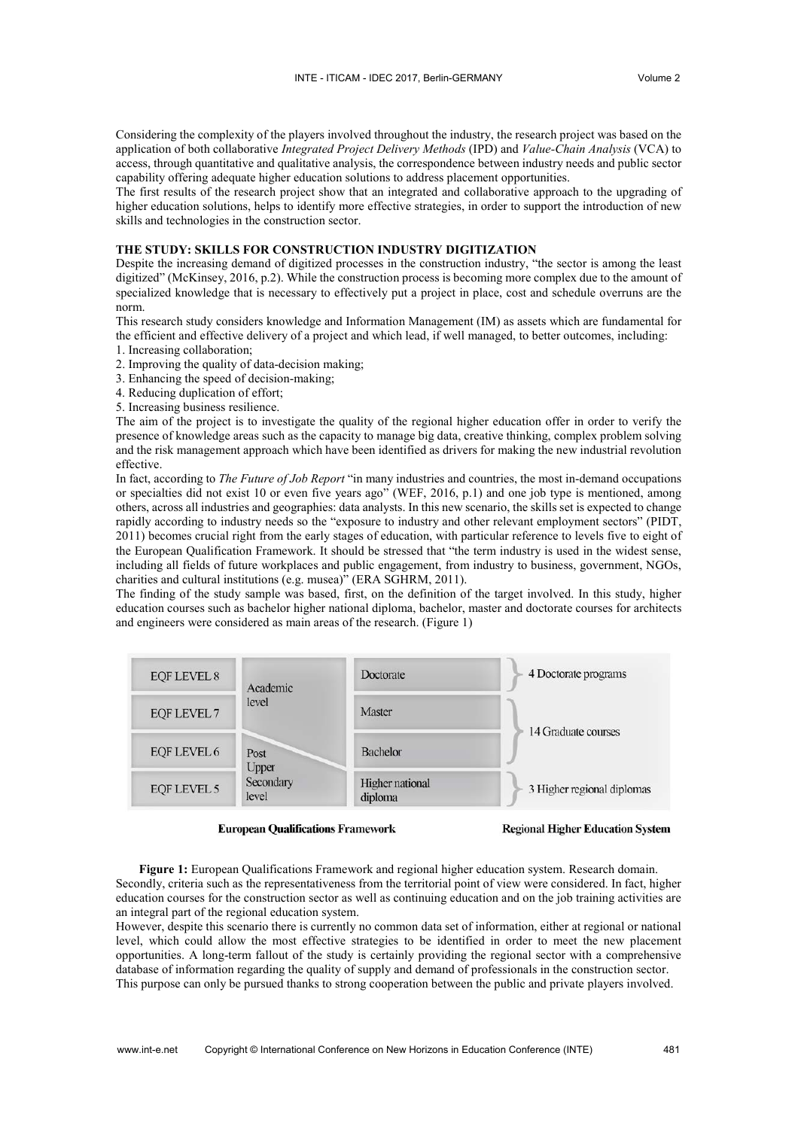Considering the complexity of the players involved throughout the industry, the research project was based on the application of both collaborative *Integrated Project Delivery Methods* (IPD) and *Value-Chain Analysis* (VCA) to access, through quantitative and qualitative analysis, the correspondence between industry needs and public sector capability offering adequate higher education solutions to address placement opportunities.

The first results of the research project show that an integrated and collaborative approach to the upgrading of higher education solutions, helps to identify more effective strategies, in order to support the introduction of new skills and technologies in the construction sector.

## **THE STUDY: SKILLS FOR CONSTRUCTION INDUSTRY DIGITIZATION**

Despite the increasing demand of digitized processes in the construction industry, "the sector is among the least digitized" (McKinsey, 2016, p.2). While the construction process is becoming more complex due to the amount of specialized knowledge that is necessary to effectively put a project in place, cost and schedule overruns are the norm.

This research study considers knowledge and Information Management (IM) as assets which are fundamental for the efficient and effective delivery of a project and which lead, if well managed, to better outcomes, including:

- 1. Increasing collaboration;
- 2. Improving the quality of data-decision making;
- 3. Enhancing the speed of decision-making;
- 4. Reducing duplication of effort;
- 5. Increasing business resilience.

The aim of the project is to investigate the quality of the regional higher education offer in order to verify the presence of knowledge areas such as the capacity to manage big data, creative thinking, complex problem solving and the risk management approach which have been identified as drivers for making the new industrial revolution effective.

In fact, according to *The Future of Job Report* "in many industries and countries, the most in-demand occupations or specialties did not exist 10 or even five years ago" (WEF, 2016, p.1) and one job type is mentioned, among others, across all industries and geographies: data analysts. In this new scenario, the skills set is expected to change rapidly according to industry needs so the "exposure to industry and other relevant employment sectors" (PIDT, 2011) becomes crucial right from the early stages of education, with particular reference to levels five to eight of the European Qualification Framework. It should be stressed that "the term industry is used in the widest sense, including all fields of future workplaces and public engagement, from industry to business, government, NGOs, charities and cultural institutions (e.g. musea)" (ERA SGHRM, 2011).

The finding of the study sample was based, first, on the definition of the target involved. In this study, higher education courses such as bachelor higher national diploma, bachelor, master and doctorate courses for architects and engineers were considered as main areas of the research. (Figure 1)



**European Qualifications Framework** 

**Regional Higher Education System** 

**Figure 1:** European Qualifications Framework and regional higher education system. Research domain. Secondly, criteria such as the representativeness from the territorial point of view were considered. In fact, higher education courses for the construction sector as well as continuing education and on the job training activities are an integral part of the regional education system.

However, despite this scenario there is currently no common data set of information, either at regional or national level, which could allow the most effective strategies to be identified in order to meet the new placement opportunities. A long-term fallout of the study is certainly providing the regional sector with a comprehensive database of information regarding the quality of supply and demand of professionals in the construction sector. This purpose can only be pursued thanks to strong cooperation between the public and private players involved.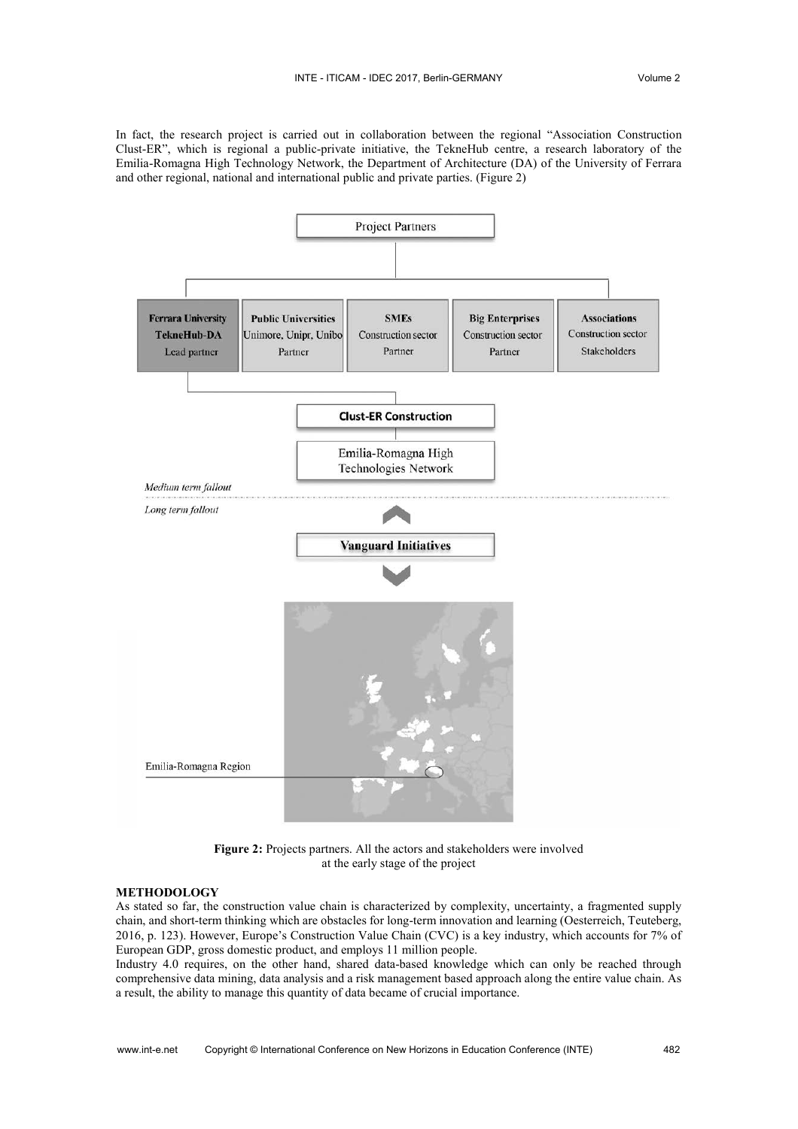In fact, the research project is carried out in collaboration between the regional "Association Construction Clust-ER", which is regional a public-private initiative, the TekneHub centre, a research laboratory of the Emilia-Romagna High Technology Network, the Department of Architecture (DA) of the University of Ferrara and other regional, national and international public and private parties. (Figure 2)



**Figure 2:** Projects partners. All the actors and stakeholders were involved at the early stage of the project

## **METHODOLOGY**

As stated so far, the construction value chain is characterized by complexity, uncertainty, a fragmented supply chain, and short-term thinking which are obstacles for long-term innovation and learning (Oesterreich, Teuteberg, 2016, p. 123). However, Europe's Construction Value Chain (CVC) is a key industry, which accounts for 7% of European GDP, gross domestic product, and employs 11 million people.

Industry 4.0 requires, on the other hand, shared data-based knowledge which can only be reached through comprehensive data mining, data analysis and a risk management based approach along the entire value chain. As a result, the ability to manage this quantity of data became of crucial importance.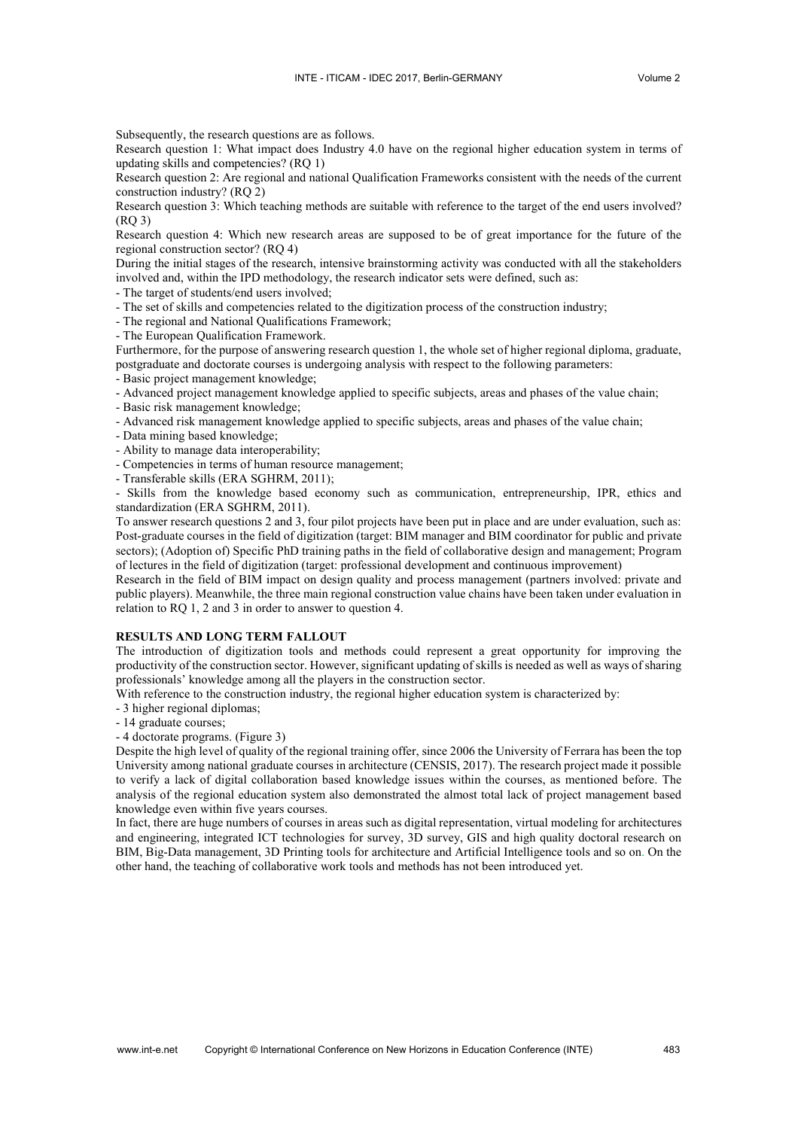Subsequently, the research questions are as follows.

Research question 1: What impact does Industry 4.0 have on the regional higher education system in terms of updating skills and competencies? (RQ 1)

Research question 2: Are regional and national Qualification Frameworks consistent with the needs of the current construction industry? (RQ 2)

Research question 3: Which teaching methods are suitable with reference to the target of the end users involved? (RQ 3)

Research question 4: Which new research areas are supposed to be of great importance for the future of the regional construction sector? (RQ 4)

During the initial stages of the research, intensive brainstorming activity was conducted with all the stakeholders involved and, within the IPD methodology, the research indicator sets were defined, such as:

- The target of students/end users involved;

- The set of skills and competencies related to the digitization process of the construction industry;

- The regional and National Qualifications Framework;

- The European Qualification Framework.

Furthermore, for the purpose of answering research question 1, the whole set of higher regional diploma, graduate, postgraduate and doctorate courses is undergoing analysis with respect to the following parameters:

- Basic project management knowledge;

- Advanced project management knowledge applied to specific subjects, areas and phases of the value chain;

- Basic risk management knowledge;

- Advanced risk management knowledge applied to specific subjects, areas and phases of the value chain;

- Data mining based knowledge;

- Ability to manage data interoperability;

- Competencies in terms of human resource management;

- Transferable skills (ERA SGHRM, 2011);

- Skills from the knowledge based economy such as communication, entrepreneurship, IPR, ethics and standardization (ERA SGHRM, 2011).

To answer research questions 2 and 3, four pilot projects have been put in place and are under evaluation, such as: Post-graduate courses in the field of digitization (target: BIM manager and BIM coordinator for public and private sectors); (Adoption of) Specific PhD training paths in the field of collaborative design and management; Program of lectures in the field of digitization (target: professional development and continuous improvement)

Research in the field of BIM impact on design quality and process management (partners involved: private and public players). Meanwhile, the three main regional construction value chains have been taken under evaluation in relation to RQ 1, 2 and 3 in order to answer to question 4.

#### **RESULTS AND LONG TERM FALLOUT**

The introduction of digitization tools and methods could represent a great opportunity for improving the productivity of the construction sector. However, significant updating of skills is needed as well as ways of sharing professionals' knowledge among all the players in the construction sector.

With reference to the construction industry, the regional higher education system is characterized by:

- 3 higher regional diplomas;

- 14 graduate courses;

- 4 doctorate programs. (Figure 3)

Despite the high level of quality of the regional training offer, since 2006 the University of Ferrara has been the top University among national graduate courses in architecture (CENSIS, 2017). The research project made it possible to verify a lack of digital collaboration based knowledge issues within the courses, as mentioned before. The analysis of the regional education system also demonstrated the almost total lack of project management based knowledge even within five years courses.

In fact, there are huge numbers of courses in areas such as digital representation, virtual modeling for architectures and engineering, integrated ICT technologies for survey, 3D survey, GIS and high quality doctoral research on BIM, Big-Data management, 3D Printing tools for architecture and Artificial Intelligence tools and so on. On the other hand, the teaching of collaborative work tools and methods has not been introduced yet.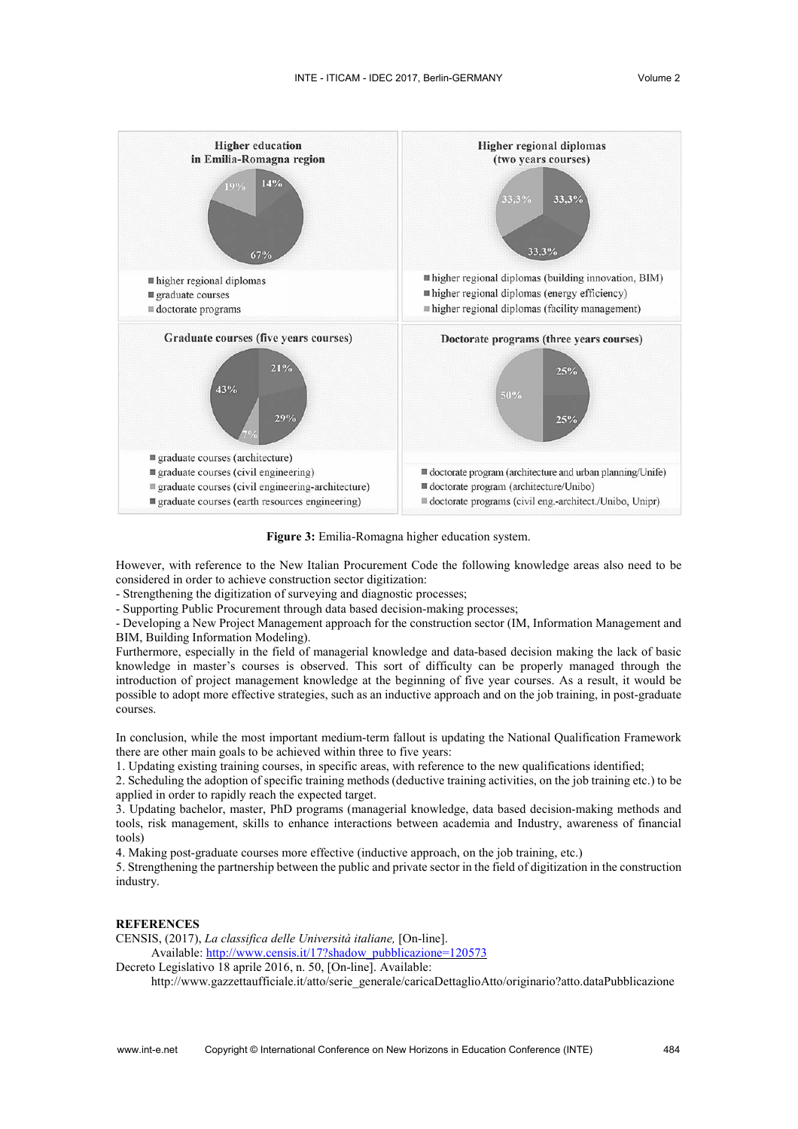

**Figure 3:** Emilia-Romagna higher education system.

However, with reference to the New Italian Procurement Code the following knowledge areas also need to be considered in order to achieve construction sector digitization:

- Strengthening the digitization of surveying and diagnostic processes;

- Supporting Public Procurement through data based decision-making processes;

- Developing a New Project Management approach for the construction sector (IM, Information Management and BIM, Building Information Modeling).

Furthermore, especially in the field of managerial knowledge and data-based decision making the lack of basic knowledge in master's courses is observed. This sort of difficulty can be properly managed through the introduction of project management knowledge at the beginning of five year courses. As a result, it would be possible to adopt more effective strategies, such as an inductive approach and on the job training, in post-graduate courses.

In conclusion, while the most important medium-term fallout is updating the National Qualification Framework there are other main goals to be achieved within three to five years:

1. Updating existing training courses, in specific areas, with reference to the new qualifications identified;

2. Scheduling the adoption of specific training methods (deductive training activities, on the job training etc.) to be applied in order to rapidly reach the expected target.

3. Updating bachelor, master, PhD programs (managerial knowledge, data based decision-making methods and tools, risk management, skills to enhance interactions between academia and Industry, awareness of financial tools)

4. Making post-graduate courses more effective (inductive approach, on the job training, etc.)

5. Strengthening the partnership between the public and private sector in the field of digitization in the construction industry.

### **REFERENCES**

CENSIS, (2017), *La classifica delle Università italiane,* [On-line]. Available: [http://www.censis.it/17?shadow\\_pubblicazione=120573](http://www.censis.it/17?shadow_pubblicazione=120573)

Decreto Legislativo 18 aprile 2016, n. 50, [On-line]. Available:

http://www.gazzettaufficiale.it/atto/serie\_generale/caricaDettaglioAtto/originario?atto.dataPubblicazione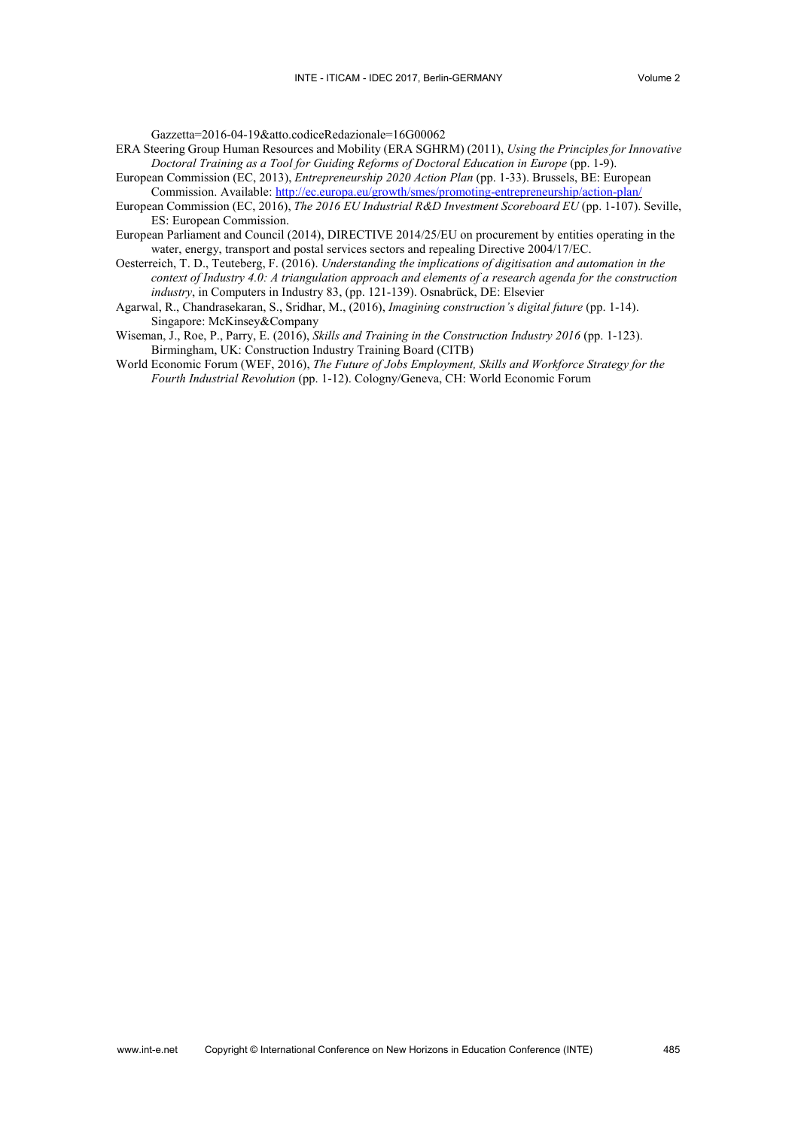Gazzetta=2016-04-19&atto.codiceRedazionale=16G00062

- ERA Steering Group Human Resources and Mobility (ERA SGHRM) (2011), *Using the Principles for Innovative Doctoral Training as a Tool for Guiding Reforms of Doctoral Education in Europe* (pp. 1-9).
- European Commission (EC, 2013), *Entrepreneurship 2020 Action Plan* (pp. 1-33). Brussels, BE: European Commission. Available:<http://ec.europa.eu/growth/smes/promoting-entrepreneurship/action-plan/>
- European Commission (EC, 2016), *The 2016 EU Industrial R&D Investment Scoreboard EU* (pp. 1-107). Seville, ES: European Commission.
- European Parliament and Council (2014), DIRECTIVE 2014/25/EU on procurement by entities operating in the water, energy, transport and postal services sectors and repealing Directive 2004/17/EC.
- Oesterreich, T. D., Teuteberg, F. (2016). *Understanding the implications of digitisation and automation in the context of Industry 4.0: A triangulation approach and elements of a research agenda for the construction industry*, in Computers in Industry 83, (pp. 121-139). Osnabrück, DE: Elsevier
- Agarwal, R., Chandrasekaran, S., Sridhar, M., (2016), *Imagining construction's digital future* (pp. 1-14). Singapore: McKinsey&Company
- Wiseman, J., Roe, P., Parry, E. (2016), *Skills and Training in the Construction Industry 2016* (pp. 1-123). Birmingham, UK: Construction Industry Training Board (CITB)
- World Economic Forum (WEF, 2016), *The Future of Jobs Employment, Skills and Workforce Strategy for the Fourth Industrial Revolution* (pp. 1-12). Cologny/Geneva, CH: World Economic Forum